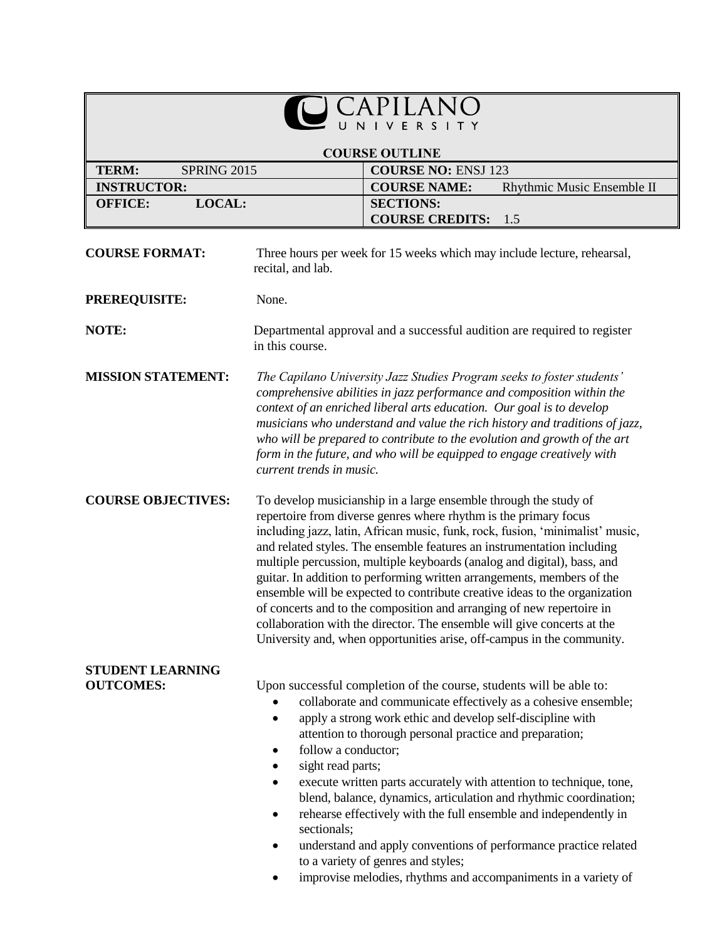|                                             |                                                                                                                                                                                                                                                                                                                                                                                                                                                                                                                                                                                                                                                                                                                                                                  | APILAN<br>E<br>R S I                                                                                                                                                                                                                                                                                                                                                                                                                                                             |  |  |
|---------------------------------------------|------------------------------------------------------------------------------------------------------------------------------------------------------------------------------------------------------------------------------------------------------------------------------------------------------------------------------------------------------------------------------------------------------------------------------------------------------------------------------------------------------------------------------------------------------------------------------------------------------------------------------------------------------------------------------------------------------------------------------------------------------------------|----------------------------------------------------------------------------------------------------------------------------------------------------------------------------------------------------------------------------------------------------------------------------------------------------------------------------------------------------------------------------------------------------------------------------------------------------------------------------------|--|--|
| <b>COURSE OUTLINE</b>                       |                                                                                                                                                                                                                                                                                                                                                                                                                                                                                                                                                                                                                                                                                                                                                                  |                                                                                                                                                                                                                                                                                                                                                                                                                                                                                  |  |  |
| <b>TERM:</b><br><b>SPRING 2015</b>          |                                                                                                                                                                                                                                                                                                                                                                                                                                                                                                                                                                                                                                                                                                                                                                  | <b>COURSE NO: ENSJ 123</b>                                                                                                                                                                                                                                                                                                                                                                                                                                                       |  |  |
| <b>INSTRUCTOR:</b>                          |                                                                                                                                                                                                                                                                                                                                                                                                                                                                                                                                                                                                                                                                                                                                                                  | <b>COURSE NAME:</b><br>Rhythmic Music Ensemble II                                                                                                                                                                                                                                                                                                                                                                                                                                |  |  |
| LOCAL:<br><b>OFFICE:</b>                    |                                                                                                                                                                                                                                                                                                                                                                                                                                                                                                                                                                                                                                                                                                                                                                  | <b>SECTIONS:</b><br><b>COURSE CREDITS:</b><br>1.5                                                                                                                                                                                                                                                                                                                                                                                                                                |  |  |
| <b>COURSE FORMAT:</b>                       | recital, and lab.                                                                                                                                                                                                                                                                                                                                                                                                                                                                                                                                                                                                                                                                                                                                                | Three hours per week for 15 weeks which may include lecture, rehearsal,                                                                                                                                                                                                                                                                                                                                                                                                          |  |  |
| <b>PREREQUISITE:</b>                        | None.                                                                                                                                                                                                                                                                                                                                                                                                                                                                                                                                                                                                                                                                                                                                                            |                                                                                                                                                                                                                                                                                                                                                                                                                                                                                  |  |  |
| NOTE:                                       | Departmental approval and a successful audition are required to register<br>in this course.                                                                                                                                                                                                                                                                                                                                                                                                                                                                                                                                                                                                                                                                      |                                                                                                                                                                                                                                                                                                                                                                                                                                                                                  |  |  |
| <b>MISSION STATEMENT:</b>                   | The Capilano University Jazz Studies Program seeks to foster students'<br>comprehensive abilities in jazz performance and composition within the<br>context of an enriched liberal arts education. Our goal is to develop<br>musicians who understand and value the rich history and traditions of jazz,<br>who will be prepared to contribute to the evolution and growth of the art<br>form in the future, and who will be equipped to engage creatively with<br>current trends in music.                                                                                                                                                                                                                                                                      |                                                                                                                                                                                                                                                                                                                                                                                                                                                                                  |  |  |
| <b>COURSE OBJECTIVES:</b>                   | To develop musicianship in a large ensemble through the study of<br>repertoire from diverse genres where rhythm is the primary focus<br>including jazz, latin, African music, funk, rock, fusion, 'minimalist' music,<br>and related styles. The ensemble features an instrumentation including<br>multiple percussion, multiple keyboards (analog and digital), bass, and<br>guitar. In addition to performing written arrangements, members of the<br>ensemble will be expected to contribute creative ideas to the organization<br>of concerts and to the composition and arranging of new repertoire in<br>collaboration with the director. The ensemble will give concerts at the<br>University and, when opportunities arise, off-campus in the community. |                                                                                                                                                                                                                                                                                                                                                                                                                                                                                  |  |  |
| <b>STUDENT LEARNING</b><br><b>OUTCOMES:</b> | ٠<br>follow a conductor;<br>sight read parts;<br>sectionals;                                                                                                                                                                                                                                                                                                                                                                                                                                                                                                                                                                                                                                                                                                     | Upon successful completion of the course, students will be able to:<br>collaborate and communicate effectively as a cohesive ensemble;<br>apply a strong work ethic and develop self-discipline with<br>attention to thorough personal practice and preparation;<br>execute written parts accurately with attention to technique, tone,<br>blend, balance, dynamics, articulation and rhythmic coordination;<br>rehearse effectively with the full ensemble and independently in |  |  |

- understand and apply conventions of performance practice related to a variety of genres and styles;
- improvise melodies, rhythms and accompaniments in a variety of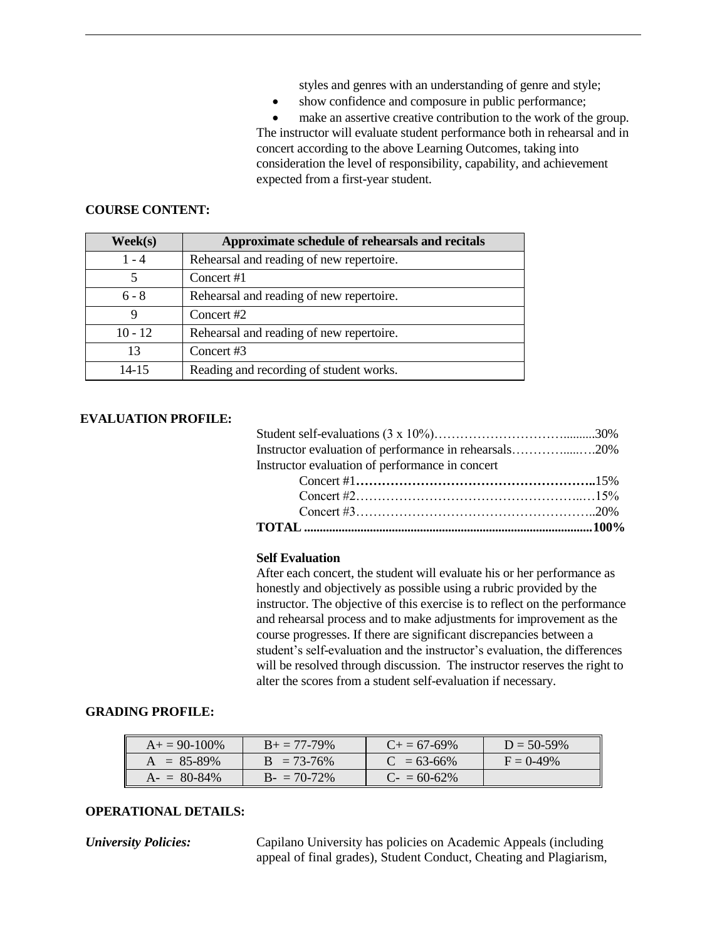styles and genres with an understanding of genre and style;

• show confidence and composure in public performance;

 make an assertive creative contribution to the work of the group. The instructor will evaluate student performance both in rehearsal and in concert according to the above Learning Outcomes, taking into consideration the level of responsibility, capability, and achievement expected from a first-year student.

### **COURSE CONTENT:**

| Week(s)   | Approximate schedule of rehearsals and recitals |
|-----------|-------------------------------------------------|
| $1 - 4$   | Rehearsal and reading of new repertoire.        |
| 5         | Concert #1                                      |
| $6 - 8$   | Rehearsal and reading of new repertoire.        |
| 9         | Concert #2                                      |
| $10 - 12$ | Rehearsal and reading of new repertoire.        |
| 13        | Concert #3                                      |
| $14 - 15$ | Reading and recording of student works.         |

# **EVALUATION PROFILE:**

| Instructor evaluation of performance in rehearsals20% |  |
|-------------------------------------------------------|--|
| Instructor evaluation of performance in concert       |  |
|                                                       |  |
|                                                       |  |
|                                                       |  |
|                                                       |  |

### **Self Evaluation**

After each concert, the student will evaluate his or her performance as honestly and objectively as possible using a rubric provided by the instructor. The objective of this exercise is to reflect on the performance and rehearsal process and to make adjustments for improvement as the course progresses. If there are significant discrepancies between a student's self-evaluation and the instructor's evaluation, the differences will be resolved through discussion. The instructor reserves the right to alter the scores from a student self-evaluation if necessary.

#### **GRADING PROFILE:**

| $A_1 = 90 - 100\%$ | $B_+ = 77-79\%$ | $C_{\pm} = 67 - 69\%$ | $D = 50 - 59\%$ |
|--------------------|-----------------|-----------------------|-----------------|
| $A = 85-89\%$      | $B = 73-76%$    | $C = 63-66\%$         | $F = 0.49\%$    |
| $A - 80 - 84\%$    | $B = 70-72\%$   | $C = 60-62\%$         |                 |

# **OPERATIONAL DETAILS:**

*University Policies:* Capilano University has policies on Academic Appeals (including appeal of final grades), Student Conduct, Cheating and Plagiarism,